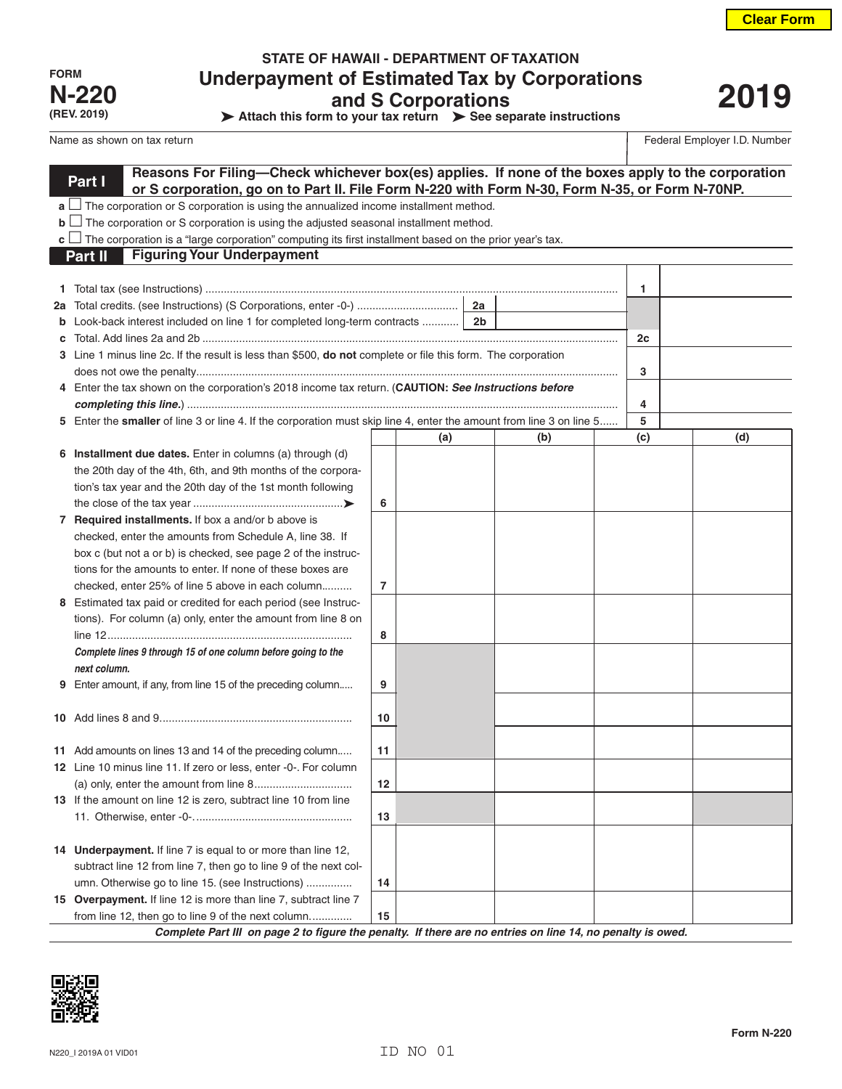| <b>FORM</b>  |
|--------------|
| <b>N-220</b> |
| (REV. 2019)  |

I

## **STATE OF HAWAII - DEPARTMENT OF TAXATION Underpayment of Estimated Tax by Corporations and S Corporations**

**Attach this form to your tax return > See separate instructions** 

# **2019**

Name as shown on tax return **Federal Employer I.D.** Number

|    | Reasons For Filing—Check whichever box(es) applies. If none of the boxes apply to the corporation<br>Part I          |                |     |                |     |     |     |  |
|----|----------------------------------------------------------------------------------------------------------------------|----------------|-----|----------------|-----|-----|-----|--|
|    | or S corporation, go on to Part II. File Form N-220 with Form N-30, Form N-35, or Form N-70NP.                       |                |     |                |     |     |     |  |
|    | $a \bigsqcup$ The corporation or S corporation is using the annualized income installment method.                    |                |     |                |     |     |     |  |
|    | $\mathbf{b}$ $\Box$ The corporation or S corporation is using the adjusted seasonal installment method.              |                |     |                |     |     |     |  |
|    | $\mathbf c$ The corporation is a "large corporation" computing its first installment based on the prior year's tax.  |                |     |                |     |     |     |  |
|    | <b>Figuring Your Underpayment</b><br>Part II                                                                         |                |     |                |     |     |     |  |
|    |                                                                                                                      |                |     |                |     |     |     |  |
|    |                                                                                                                      |                |     |                |     | 1   |     |  |
| 2a |                                                                                                                      |                |     |                |     |     |     |  |
|    | Look-back interest included on line 1 for completed long-term contracts                                              |                |     | 2 <sub>b</sub> |     |     |     |  |
|    |                                                                                                                      |                |     |                |     | 2c  |     |  |
|    | 3 Line 1 minus line 2c. If the result is less than \$500, do not complete or file this form. The corporation         |                |     |                |     |     |     |  |
|    |                                                                                                                      |                |     |                |     | 3   |     |  |
|    | 4 Enter the tax shown on the corporation's 2018 income tax return. (CAUTION: See Instructions before                 |                |     |                |     | 4   |     |  |
|    | 5 Enter the smaller of line 3 or line 4. If the corporation must skip line 4, enter the amount from line 3 on line 5 |                |     |                |     | 5   |     |  |
|    |                                                                                                                      |                | (a) |                | (b) | (c) | (d) |  |
|    | 6 Installment due dates. Enter in columns (a) through (d)                                                            |                |     |                |     |     |     |  |
|    | the 20th day of the 4th, 6th, and 9th months of the corpora-                                                         |                |     |                |     |     |     |  |
|    | tion's tax year and the 20th day of the 1st month following                                                          |                |     |                |     |     |     |  |
|    |                                                                                                                      | 6              |     |                |     |     |     |  |
|    | 7 Required installments. If box a and/or b above is                                                                  |                |     |                |     |     |     |  |
|    | checked, enter the amounts from Schedule A, line 38. If                                                              |                |     |                |     |     |     |  |
|    | box c (but not a or b) is checked, see page 2 of the instruc-                                                        |                |     |                |     |     |     |  |
|    | tions for the amounts to enter. If none of these boxes are                                                           |                |     |                |     |     |     |  |
|    | checked, enter 25% of line 5 above in each column                                                                    | $\overline{7}$ |     |                |     |     |     |  |
|    | 8 Estimated tax paid or credited for each period (see Instruc-                                                       |                |     |                |     |     |     |  |
|    | tions). For column (a) only, enter the amount from line 8 on                                                         |                |     |                |     |     |     |  |
|    |                                                                                                                      | 8              |     |                |     |     |     |  |
|    | Complete lines 9 through 15 of one column before going to the                                                        |                |     |                |     |     |     |  |
|    | next column.                                                                                                         |                |     |                |     |     |     |  |
| 9  | Enter amount, if any, from line 15 of the preceding column                                                           | 9              |     |                |     |     |     |  |
|    |                                                                                                                      |                |     |                |     |     |     |  |
|    |                                                                                                                      | 10             |     |                |     |     |     |  |
|    |                                                                                                                      |                |     |                |     |     |     |  |
|    | 11 Add amounts on lines 13 and 14 of the preceding column                                                            | 11             |     |                |     |     |     |  |
|    | 12 Line 10 minus line 11. If zero or less, enter -0-. For column                                                     |                |     |                |     |     |     |  |
|    |                                                                                                                      | 12             |     |                |     |     |     |  |
|    | 13 If the amount on line 12 is zero, subtract line 10 from line                                                      |                |     |                |     |     |     |  |
|    |                                                                                                                      | 13             |     |                |     |     |     |  |
|    |                                                                                                                      |                |     |                |     |     |     |  |
|    | 14 Underpayment. If line 7 is equal to or more than line 12,                                                         |                |     |                |     |     |     |  |
|    | subtract line 12 from line 7, then go to line 9 of the next col-                                                     |                |     |                |     |     |     |  |
|    | umn. Otherwise go to line 15. (see Instructions)                                                                     | 14             |     |                |     |     |     |  |
|    | 15 Overpayment. If line 12 is more than line 7, subtract line 7                                                      |                |     |                |     |     |     |  |
|    | from line 12, then go to line 9 of the next column                                                                   | 15             |     |                |     |     |     |  |

*Complete Part III on page 2 to figure the penalty. If there are no entries on line 14, no penalty is owed.*

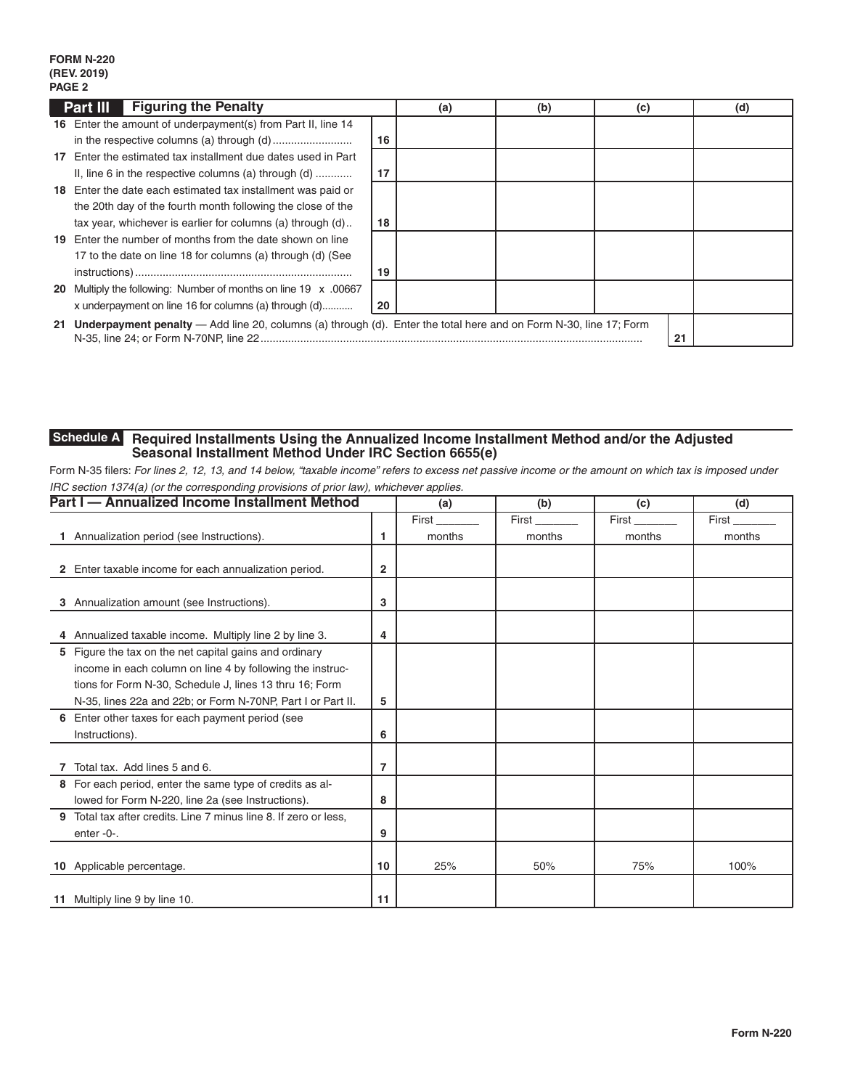### **FORM N-220 (REV. 2019) PAGE 2**

|    | <b>Part III</b> Figuring the Penalty                                                                                 |    | (a) | (b) | (c) |    | (d) |
|----|----------------------------------------------------------------------------------------------------------------------|----|-----|-----|-----|----|-----|
|    | 16 Enter the amount of underpayment(s) from Part II, line 14                                                         |    |     |     |     |    |     |
|    |                                                                                                                      | 16 |     |     |     |    |     |
| 17 | Enter the estimated tax installment due dates used in Part                                                           |    |     |     |     |    |     |
|    | II, line 6 in the respective columns (a) through $(d)$                                                               | 17 |     |     |     |    |     |
|    | 18 Enter the date each estimated tax installment was paid or                                                         |    |     |     |     |    |     |
|    | the 20th day of the fourth month following the close of the                                                          |    |     |     |     |    |     |
|    | tax year, whichever is earlier for columns (a) through (d)                                                           | 18 |     |     |     |    |     |
|    | 19 Enter the number of months from the date shown on line                                                            |    |     |     |     |    |     |
|    | 17 to the date on line 18 for columns (a) through (d) (See                                                           |    |     |     |     |    |     |
|    |                                                                                                                      | 19 |     |     |     |    |     |
|    | 20 Multiply the following: Number of months on line 19 x .00667                                                      |    |     |     |     |    |     |
|    | x underpayment on line 16 for columns (a) through (d)                                                                | 20 |     |     |     |    |     |
|    | 21 Underpayment penalty — Add line 20, columns (a) through (d). Enter the total here and on Form N-30, line 17; Form |    |     |     |     | 21 |     |

#### **Required Installments Using the Annualized Income Installment Method and/or the Adjusted Seasonal Installment Method Under IRC Section 6655(e) Schedule A**

Form N-35 filers: *For lines 2, 12, 13, and 14 below, "taxable income" refers to excess net passive income or the amount on which tax is imposed under IRC section 1374(a) (or the corresponding provisions of prior law), whichever applies.*

|   | Part I - Annualized Income Installment Method                  |    | (a)    | (b)    | (c)    | (d)    |
|---|----------------------------------------------------------------|----|--------|--------|--------|--------|
|   |                                                                |    | First  | First  | First  | First  |
|   | Annualization period (see Instructions).                       | 1  | months | months | months | months |
|   |                                                                |    |        |        |        |        |
|   | 2 Enter taxable income for each annualization period.          | 2  |        |        |        |        |
|   |                                                                |    |        |        |        |        |
| 3 | Annualization amount (see Instructions).                       | 3  |        |        |        |        |
|   |                                                                |    |        |        |        |        |
|   | 4 Annualized taxable income. Multiply line 2 by line 3.        | 4  |        |        |        |        |
|   | 5 Figure the tax on the net capital gains and ordinary         |    |        |        |        |        |
|   | income in each column on line 4 by following the instruc-      |    |        |        |        |        |
|   | tions for Form N-30, Schedule J, lines 13 thru 16; Form        |    |        |        |        |        |
|   | N-35, lines 22a and 22b; or Form N-70NP, Part I or Part II.    | 5  |        |        |        |        |
|   | 6 Enter other taxes for each payment period (see               |    |        |        |        |        |
|   | Instructions).                                                 | 6  |        |        |        |        |
|   |                                                                |    |        |        |        |        |
|   | Total tax. Add lines 5 and 6.                                  | 7  |        |        |        |        |
|   | 8 For each period, enter the same type of credits as al-       |    |        |        |        |        |
|   | lowed for Form N-220, line 2a (see Instructions).              | 8  |        |        |        |        |
| 9 | Total tax after credits. Line 7 minus line 8. If zero or less, |    |        |        |        |        |
|   | enter-0-.                                                      | 9  |        |        |        |        |
|   |                                                                |    |        |        |        |        |
|   | 10 Applicable percentage.                                      | 10 | 25%    | 50%    | 75%    | 100%   |
|   |                                                                |    |        |        |        |        |
|   | 11 Multiply line 9 by line 10.                                 | 11 |        |        |        |        |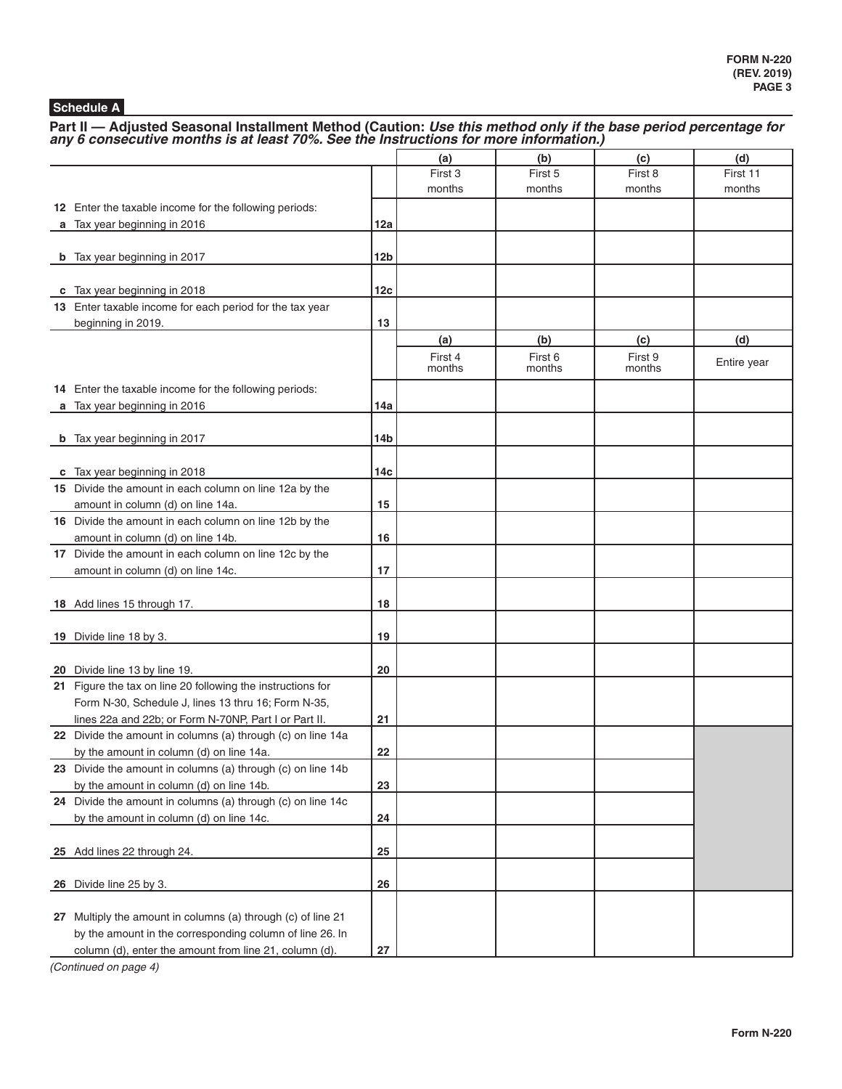## **Schedule A**

Part II — Adjusted Seasonal Installment Method (Caution: *Use this method only if the base period percentage for any 6 consecutive months is at least 70%. See the Instructions for more information.)* 

|                                                                                        |            | (a)     | (b)     | (c)     | (d)         |
|----------------------------------------------------------------------------------------|------------|---------|---------|---------|-------------|
|                                                                                        |            | First 3 | First 5 | First 8 | First 11    |
|                                                                                        |            | months  | months  | months  | months      |
| 12 Enter the taxable income for the following periods:                                 |            |         |         |         |             |
| a Tax year beginning in 2016                                                           | 12a        |         |         |         |             |
|                                                                                        |            |         |         |         |             |
| <b>b</b> Tax year beginning in 2017                                                    | 12b        |         |         |         |             |
|                                                                                        |            |         |         |         |             |
| c Tax year beginning in 2018                                                           | 12c        |         |         |         |             |
| 13 Enter taxable income for each period for the tax year                               |            |         |         |         |             |
| beginning in 2019.                                                                     | 13         |         |         |         |             |
|                                                                                        |            | (a)     | (b)     | (c)     | (d)         |
|                                                                                        |            | First 4 | First 6 | First 9 | Entire year |
|                                                                                        |            | months  | months  | months  |             |
| 14 Enter the taxable income for the following periods:                                 |            |         |         |         |             |
| a Tax year beginning in 2016                                                           | 14a        |         |         |         |             |
|                                                                                        |            |         |         |         |             |
| <b>b</b> Tax year beginning in 2017                                                    | 14b        |         |         |         |             |
|                                                                                        | 14с        |         |         |         |             |
| c Tax year beginning in 2018<br>15 Divide the amount in each column on line 12a by the |            |         |         |         |             |
| amount in column (d) on line 14a.                                                      | 15         |         |         |         |             |
| 16 Divide the amount in each column on line 12b by the                                 |            |         |         |         |             |
| amount in column (d) on line 14b.                                                      | 16         |         |         |         |             |
| 17 Divide the amount in each column on line 12c by the                                 |            |         |         |         |             |
| amount in column (d) on line 14c.                                                      | 17         |         |         |         |             |
|                                                                                        |            |         |         |         |             |
| 18 Add lines 15 through 17.                                                            | 18         |         |         |         |             |
|                                                                                        |            |         |         |         |             |
| 19 Divide line 18 by 3.                                                                | 19         |         |         |         |             |
|                                                                                        |            |         |         |         |             |
| 20 Divide line 13 by line 19.                                                          | 20         |         |         |         |             |
| 21 Figure the tax on line 20 following the instructions for                            |            |         |         |         |             |
| Form N-30, Schedule J, lines 13 thru 16; Form N-35,                                    |            |         |         |         |             |
| lines 22a and 22b; or Form N-70NP, Part I or Part II.                                  | 21         |         |         |         |             |
| 22 Divide the amount in columns (a) through (c) on line 14a                            |            |         |         |         |             |
| by the amount in column (d) on line 14a.                                               | 22         |         |         |         |             |
| 23 Divide the amount in columns (a) through (c) on line 14b                            |            |         |         |         |             |
| by the amount in column (d) on line 14b.                                               | 23         |         |         |         |             |
| 24 Divide the amount in columns (a) through (c) on line 14c                            |            |         |         |         |             |
| by the amount in column (d) on line 14c.                                               | 24         |         |         |         |             |
|                                                                                        |            |         |         |         |             |
| 25 Add lines 22 through 24.                                                            | 25         |         |         |         |             |
|                                                                                        |            |         |         |         |             |
| 26 Divide line 25 by 3.                                                                | 26         |         |         |         |             |
|                                                                                        |            |         |         |         |             |
| 27 Multiply the amount in columns (a) through (c) of line 21                           |            |         |         |         |             |
| by the amount in the corresponding column of line 26. In                               |            |         |         |         |             |
| column (d), enter the amount from line 21, column (d).                                 | ${\bf 27}$ |         |         |         |             |

*(Continued on page 4)*